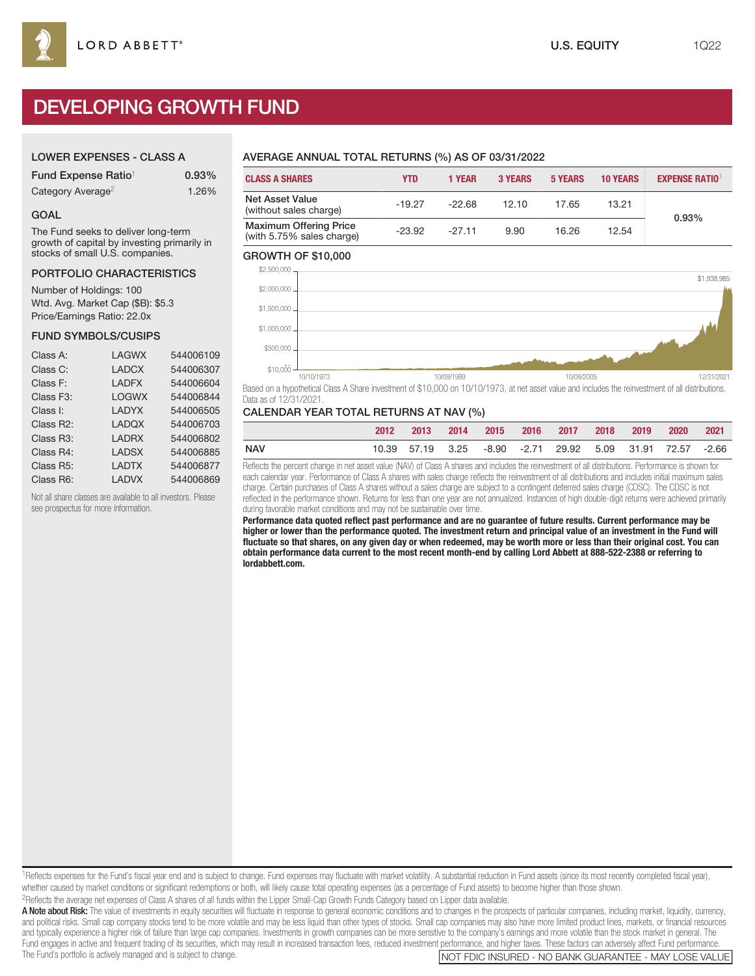# DEVELOPING GROWTH FUND

## LOWER EXPENSES - CLASS A

| Fund Expense Ratio <sup>1</sup> | 0.93% |
|---------------------------------|-------|
| Category Average <sup>2</sup>   | 1.26% |

## GOAL

The Fund seeks to deliver long-term growth of capital by investing primarily in stocks of small U.S. companies.

### PORTFOLIO CHARACTERISTICS

Number of Holdings: 100 Wtd. Avg. Market Cap (\$B): \$5.3 Price/Earnings Ratio: 22.0x

## FUND SYMBOLS/CUSIPS

| 544006109 |
|-----------|
| 544006307 |
| 544006604 |
| 544006844 |
| 544006505 |
| 544006703 |
| 544006802 |
| 544006885 |
| 544006877 |
| 544006869 |
|           |

Not all share classes are available to all investors. Please see prospectus for more information.

## AVERAGE ANNUAL TOTAL RETURNS (%) AS OF 03/31/2022

| <b>CLASS A SHARES</b>                                      | <b>YTD</b> | <b>1 YEAR</b> | <b>3 YEARS</b> | <b>5 YEARS</b> | <b>10 YEARS</b> | <b>EXPENSE RATIO1</b> |
|------------------------------------------------------------|------------|---------------|----------------|----------------|-----------------|-----------------------|
| Net Asset Value<br>(without sales charge)                  | $-19.27$   | $-22.68$      | 12.10          | 17.65          | 13.21           | 0.93%                 |
| <b>Maximum Offering Price</b><br>(with 5.75% sales charge) | $-23.92$   | $-27.11$      | 9.90           | 16.26          | 12.54           |                       |

### GROWTH OF \$10,000



Based on a hypothetical Class A Share investment of \$10,000 on 10/10/1973, at net asset value and includes the reinvestment of all distributions. Data as of 12/31/2021.

## CALENDAR YEAR TOTAL RETURNS AT NAV (%)

|            | 2013                                                      | $-2014$ |  | 2015 2016 2017 2018 2019 |  | 2020 2021 |  |
|------------|-----------------------------------------------------------|---------|--|--------------------------|--|-----------|--|
| <b>NAV</b> | 10.39 57.19 3.25 -8.90 -2.71 29.92 5.09 31.91 72.57 -2.66 |         |  |                          |  |           |  |

Reflects the percent change in net asset value (NAV) of Class A shares and includes the reinvestment of all distributions. Performance is shown for each calendar year. Performance of Class A shares with sales charge reflects the reinvestment of all distributions and includes initial maximum sales charge. Certain purchases of Class A shares without a sales charge are subject to a contingent deferred sales charge (CDSC). The CDSC is not reflected in the performance shown. Returns for less than one year are not annualized. Instances of high double-digit returns were achieved primarily during favorable market conditions and may not be sustainable over time.

**Performance data quoted reflect past performance and are no guarantee of future results. Current performance may be higher or lower than the performance quoted. The investment return and principal value of an investment in the Fund will fluctuate so that shares, on any given day or when redeemed, may be worth more or less than their original cost. You can obtain performance data current to the most recent month-end by calling Lord Abbett at 888-522-2388 or referring to lordabbett.com.**

<sup>1</sup>Reflects expenses for the Fund's fiscal year end and is subject to change. Fund expenses may fluctuate with market volatility. A substantial reduction in Fund assets (since its most recently completed fiscal year), whether caused by market conditions or significant redemptions or both, will likely cause total operating expenses (as a percentage of Fund assets) to become higher than those shown. 2Reflects the average net expenses of Class A shares of all funds within the Lipper Small-Cap Growth Funds Category based on Lipper data available.

A Note about Risk: The value of investments in equity securities will fluctuate in response to general economic conditions and to changes in the prospects of particular companies, including market, liquidity, currency, and political risks. Small cap company stocks tend to be more volatile and may be less liquid than other types of stocks. Small cap companies may also have more limited product lines, markets, or financial resources and typically experience a higher risk of failure than large cap companies. Investments in growth companies can be more sensitive to the company's earnings and more volatile than the stock market in general. The Fund engages in active and frequent trading of its securities, which may result in increased transaction fees, reduced investment performance, and higher taxes. These factors can adversely affect Fund performance